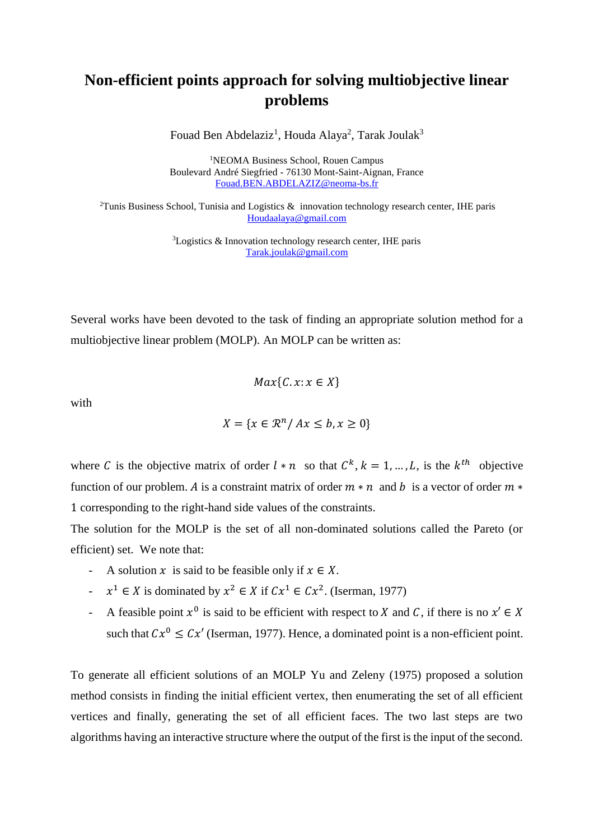## **Non-efficient points approach for solving multiobjective linear problems**

Fouad Ben Abdelaziz<sup>1</sup>, Houda Alaya<sup>2</sup>, Tarak Joulak<sup>3</sup>

<sup>1</sup>NEOMA Business School, Rouen Campus Boulevard André Siegfried - 76130 Mont-Saint-Aignan, France [Fouad.BEN.ABDELAZIZ@neoma-bs.fr](file:///C:/Users/sdg/Downloads/Fouad.BEN.ABDELAZIZ@neoma-bs.fr)

<sup>2</sup>Tunis Business School, Tunisia and Logistics  $\&$  innovation technology research center, IHE paris [Houdaalaya@gmail.com](mailto:Houdaalaya@gmail.com)

> <sup>3</sup>Logistics & Innovation technology research center, IHE paris [Tarak.joulak@gmail.com](mailto:Tarak.joulak@gmail.com)

Several works have been devoted to the task of finding an appropriate solution method for a multiobjective linear problem (MOLP). An MOLP can be written as:

$$
Max\{C.x:x\in X\}
$$

with

$$
X = \{x \in \mathbb{R}^n / Ax \le b, x \ge 0\}
$$

where C is the objective matrix of order  $l * n$  so that  $C^k$ ,  $k = 1, ..., L$ , is the  $k^{th}$  objective function of our problem. A is a constraint matrix of order  $m * n$  and b is a vector of order  $m *$ 1 corresponding to the right-hand side values of the constraints.

The solution for the MOLP is the set of all non-dominated solutions called the Pareto (or efficient) set. We note that:

- A solution x is said to be feasible only if  $x \in X$ .
- $\therefore$   $x^1 \in X$  is dominated by  $x^2 \in X$  if  $Cx^1 \in Cx^2$ . (Iserman, 1977)
- A feasible point  $x^0$  is said to be efficient with respect to X and C, if there is no  $x' \in X$ such that  $Cx^0 \leq Cx'$  (Iserman, 1977). Hence, a dominated point is a non-efficient point.

To generate all efficient solutions of an MOLP Yu and Zeleny (1975) proposed a solution method consists in finding the initial efficient vertex, then enumerating the set of all efficient vertices and finally, generating the set of all efficient faces. The two last steps are two algorithms having an interactive structure where the output of the first is the input of the second.